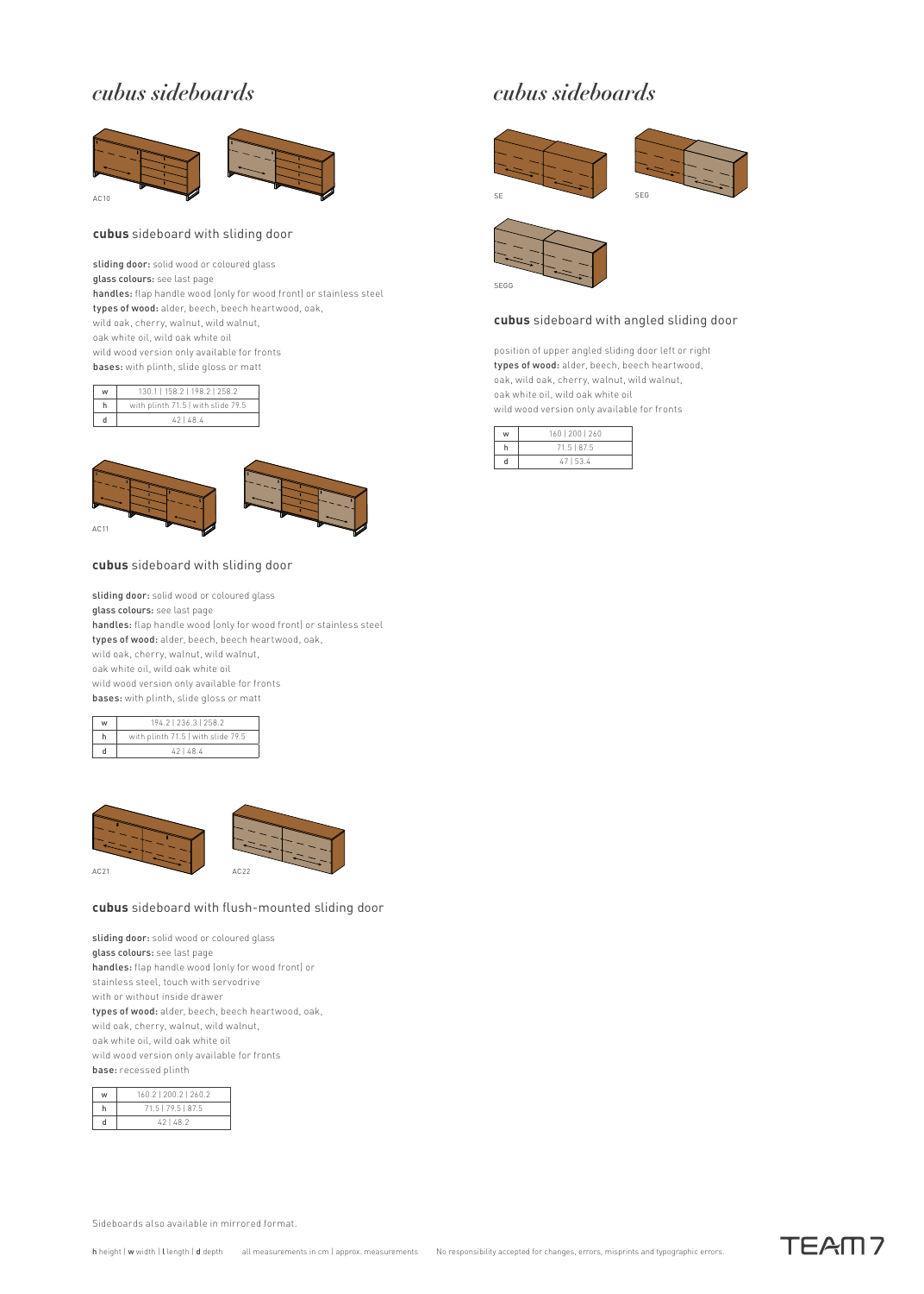### *cubus sideboards*



#### **cubus** sideboard with sliding door

sliding door: solid wood or coloured glass glass colours: see last page handles: flap handle wood (only for wood front) or stainless steel types of wood: alder, beech, beech heartwood, oak, wild oak, cherry, walnut, wild walnut, oak white oil, wild oak white oil wild wood version only available for fronts bases: with plinth, slide gloss or matt

| w | 130.1   158.2   198.2   258.2      |
|---|------------------------------------|
|   | with plinth 71.5   with slide 79.5 |
|   | 421484                             |



#### **cubus** sideboard with sliding door

sliding door: solid wood or coloured glass glass colours: see last page handles: flap handle wood (only for wood front) or stainless steel types of wood: alder, beech, beech heartwood, oak, wild oak, cherry, walnut, wild walnut, oak white oil, wild oak white oil wild wood version only available for fronts bases: with plinth, slide gloss or matt

| w | 194.2   236.3   258.2              |  |
|---|------------------------------------|--|
|   | with plinth 71.5   with slide 79.5 |  |
|   | 421484                             |  |



#### **cubus** sideboard with flush-mounted sliding door

sliding door: solid wood or coloured glass glass colours: see last page handles: flap handle wood (only for wood front) or stainless steel, touch with servodrive with or without inside drawer types of wood: alder, beech, beech heartwood, oak, wild oak, cherry, walnut, wild walnut, oak white oil, wild oak white oil wild wood version only available for fronts base: recessed plinth

| 160.2   200.2   260.2 |
|-----------------------|
| 71.5   79.5   87.5    |
| 421482                |

### *cubus sideboards*







### **cubus** sideboard with angled sliding door

position of upper angled sliding door left or right types of wood: alder, beech, beech heartwood, oak, wild oak, cherry, walnut, wild walnut, oak white oil, wild oak white oil wild wood version only available for fronts

| w | 160   200   260 |
|---|-----------------|
|   | 71.5   87.5     |
|   | 47153.4         |

Sideboards also available in mirrored format.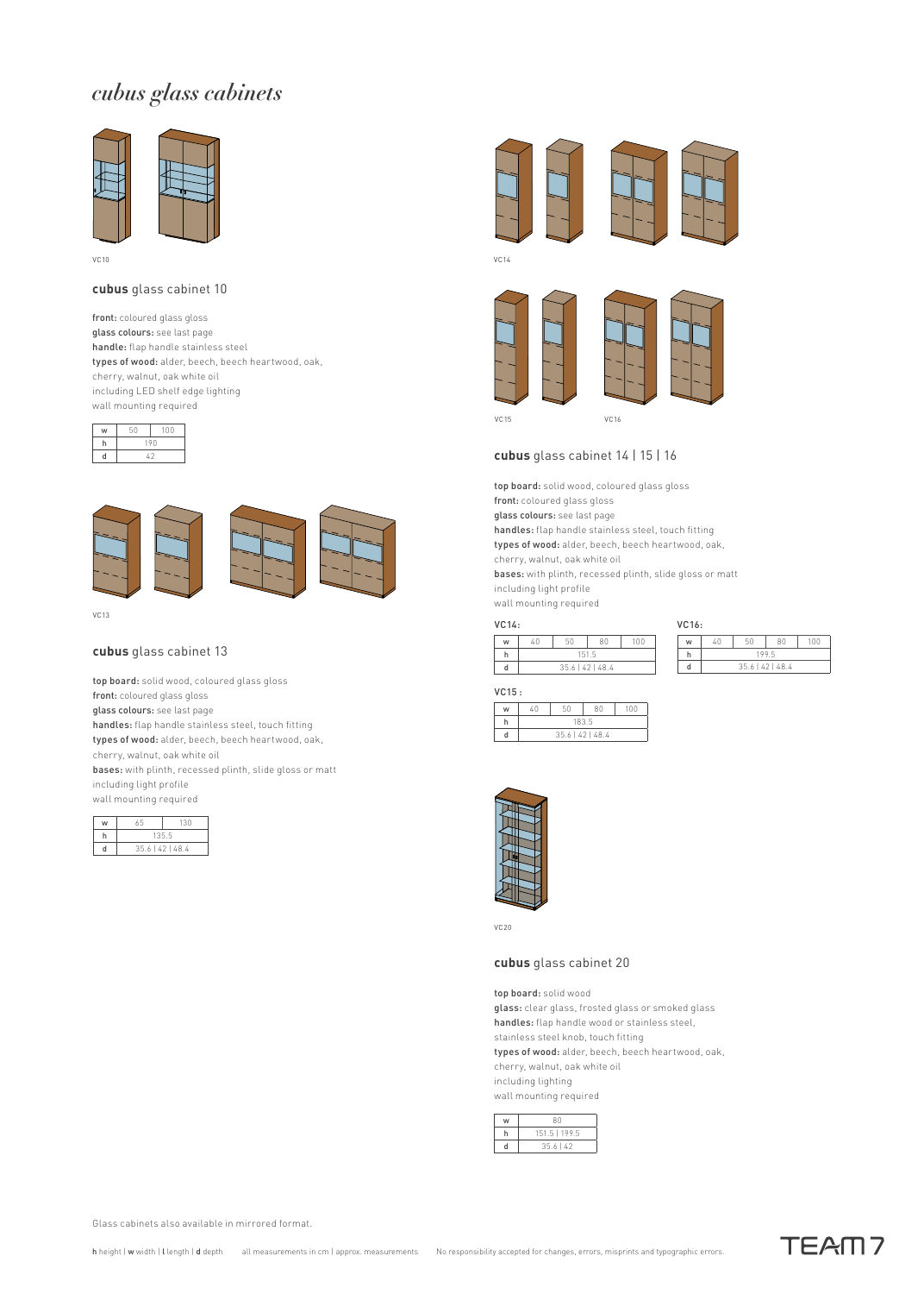## *cubus glass cabinets*



VC10

#### **cubus** glass cabinet 10

front: coloured glass gloss glass colours: see last page handle: flap handle stainless steel types of wood: alder, beech, beech heartwood, oak, cherry, walnut, oak white oil including LED shelf edge lighting wall mounting required







 $VCA3$ 

#### **cubus** glass cabinet 13

top board: solid wood, coloured glass gloss front: coloured glass gloss glass colours: see last page

handles: flap handle stainless steel, touch fitting types of wood: alder, beech, beech heartwood, oak,

cherry, walnut, oak white oil

bases: with plinth, recessed plinth, slide gloss or matt including light profile

wall mounting required

| w | 65               | 130 |  |
|---|------------------|-----|--|
|   | 1355             |     |  |
|   | 35.6   42   48.4 |     |  |



VC14





w 40 50 80 100 h 199.5 d 35.6 | 42 | 48.4

VC16:

#### **cubus** glass cabinet 14 | 15 | 16

top board: solid wood, coloured glass gloss

front: coloured glass gloss glass colours: see last page

handles: flap handle stainless steel, touch fitting

types of wood: alder, beech, beech heartwood, oak,

cherry, walnut, oak white oil

bases: with plinth, recessed plinth, slide gloss or matt

including light profile

wall mounting required

| VC14: |                           |    |    |     |
|-------|---------------------------|----|----|-----|
| w     | 40                        | 50 | ΩN | 100 |
| h     | 151 5<br>35.6   42   48.4 |    |    |     |
|       |                           |    |    |     |

#### VC15 :

| . |      |                  |    |     |
|---|------|------------------|----|-----|
| w | 7. N | 50               | ΩĤ | 100 |
|   | 1835 |                  |    |     |
|   |      | 35.6   42   48.4 |    |     |



VC20

### **cubus** glass cabinet 20

top board: solid wood glass: clear glass, frosted glass or smoked glass handles: flap handle wood or stainless steel, stainless steel knob, touch fitting types of wood: alder, beech, beech heartwood, oak, cherry, walnut, oak white oil including lighting wall mounting required

| RΛ            |
|---------------|
| 151.5   199.5 |
| $35.6$   42   |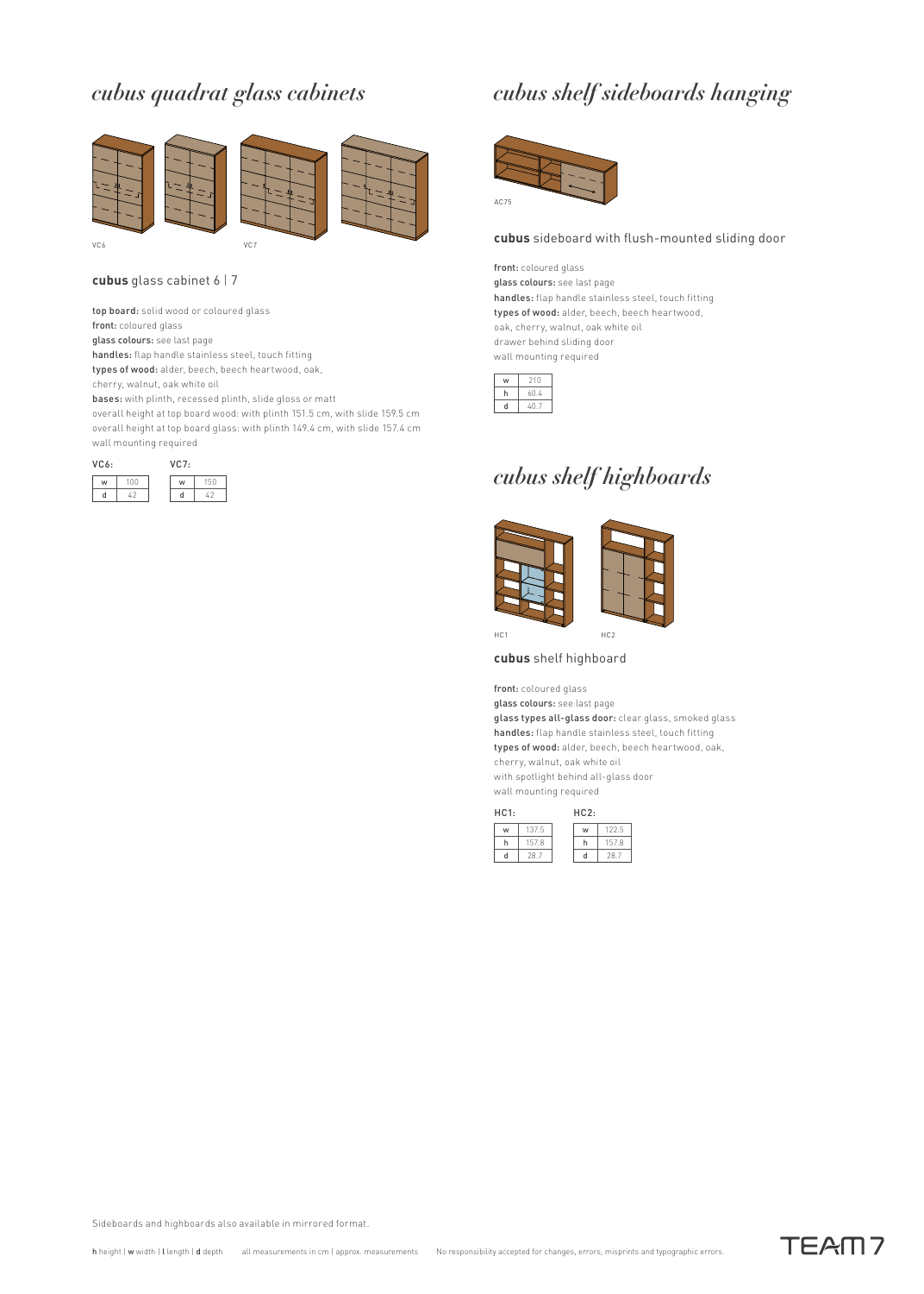## *cubus quadrat glass cabinets*



#### **cubus** glass cabinet 6 | 7

top board: solid wood or coloured glass

front: coloured glass

glass colours: see last page

handles: flap handle stainless steel, touch fitting

types of wood: alder, beech, beech heartwood, oak,

cherry, walnut, oak white oil

bases: with plinth, recessed plinth, slide gloss or matt overall height at top board wood: with plinth 151.5 cm, with slide 159.5 cm overall height at top board glass: with plinth 149.4 cm, with slide 157.4 cm wall mounting required



## *cubus shelf sideboards hanging*



#### **cubus** sideboard with flush-mounted sliding door

front: coloured glass glass colours: see last page handles: flap handle stainless steel, touch fitting types of wood: alder, beech, beech heartwood, oak, cherry, walnut, oak white oil drawer behind sliding door wall mounting required

| 210 |
|-----|
| 04  |
| 17  |
|     |

### *cubus shelf highboards*



HC1 HC2

#### **cubus** shelf highboard

front: coloured glass glass colours: see last page glass types all-glass door: clear glass, smoked glass handles: flap handle stainless steel, touch fitting types of wood: alder, beech, beech heartwood, oak, cherry, walnut, oak white oil

with spotlight behind all-glass door wall mounting required



Sideboards and highboards also available in mirrored format.